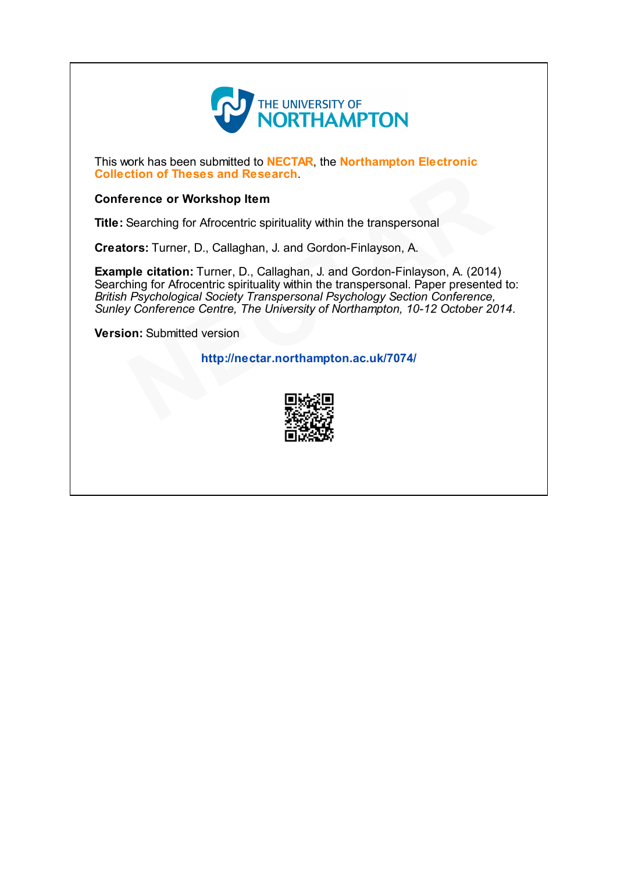

This work has been submitted to **NECTAR**, the **Northampton Electronic** Collection of Theses and Research.

# Conference or Workshop Item

Title: Searching for Afrocentric spirituality within the transpersonal

Creators: Turner, D., Callaghan, J. and Gordon-Finlayson, A.

Example citation: Turner, D., Callaghan, J. and Gordon-Finlayson, A. (2014) Searching for Afrocentric spirituality within the transpersonal. Paper presented to: British Psychological Society Transpersonal Psychology Section Conference, Sunley Conference Centre, The University of Northampton, 10-12 October 2014. tion of Theses and Research.<br>
Frence or Workshop Item<br>
Searching for Afrocentric spirituality within the transpersonal<br>
ors: Turner, D., Callaghan, J. and Gordon-Finlayson, A.<br>
ple citation: Turner, D., Callaghan, J. and

**Version: Submitted version** 

http://nectar.northampton.ac.uk/7074/

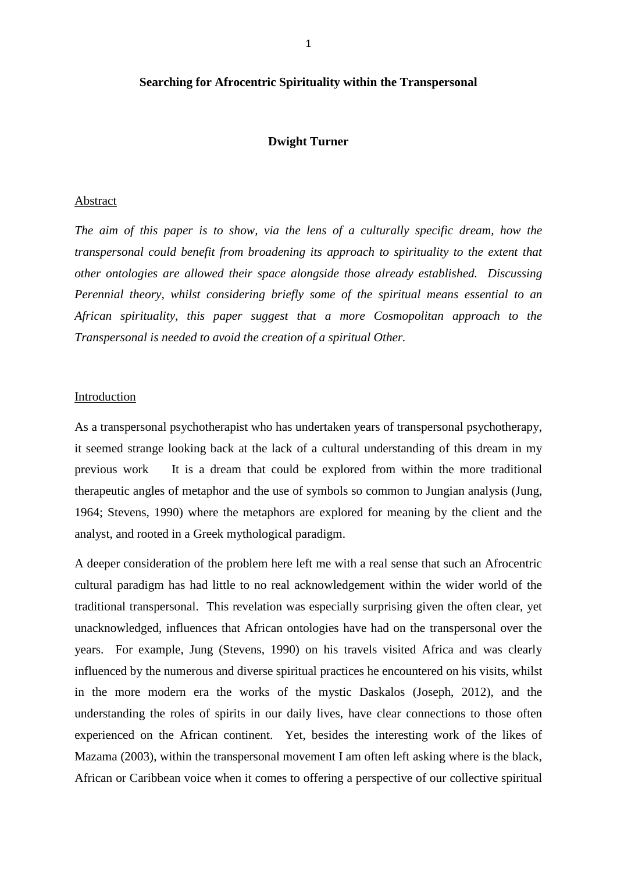## **Searching for Afrocentric Spirituality within the Transpersonal**

### **Dwight Turner**

## Abstract

*The aim of this paper is to show, via the lens of a culturally specific dream, how the transpersonal could benefit from broadening its approach to spirituality to the extent that other ontologies are allowed their space alongside those already established. Discussing Perennial theory, whilst considering briefly some of the spiritual means essential to an African spirituality, this paper suggest that a more Cosmopolitan approach to the Transpersonal is needed to avoid the creation of a spiritual Other.* 

## Introduction

As a transpersonal psychotherapist who has undertaken years of transpersonal psychotherapy, it seemed strange looking back at the lack of a cultural understanding of this dream in my previous work It is a dream that could be explored from within the more traditional therapeutic angles of metaphor and the use of symbols so common to Jungian analysis (Jung, 1964; Stevens, 1990) where the metaphors are explored for meaning by the client and the analyst, and rooted in a Greek mythological paradigm.

A deeper consideration of the problem here left me with a real sense that such an Afrocentric cultural paradigm has had little to no real acknowledgement within the wider world of the traditional transpersonal. This revelation was especially surprising given the often clear, yet unacknowledged, influences that African ontologies have had on the transpersonal over the years. For example, Jung (Stevens, 1990) on his travels visited Africa and was clearly influenced by the numerous and diverse spiritual practices he encountered on his visits, whilst in the more modern era the works of the mystic Daskalos (Joseph, 2012), and the understanding the roles of spirits in our daily lives, have clear connections to those often experienced on the African continent. Yet, besides the interesting work of the likes of Mazama (2003), within the transpersonal movement I am often left asking where is the black, African or Caribbean voice when it comes to offering a perspective of our collective spiritual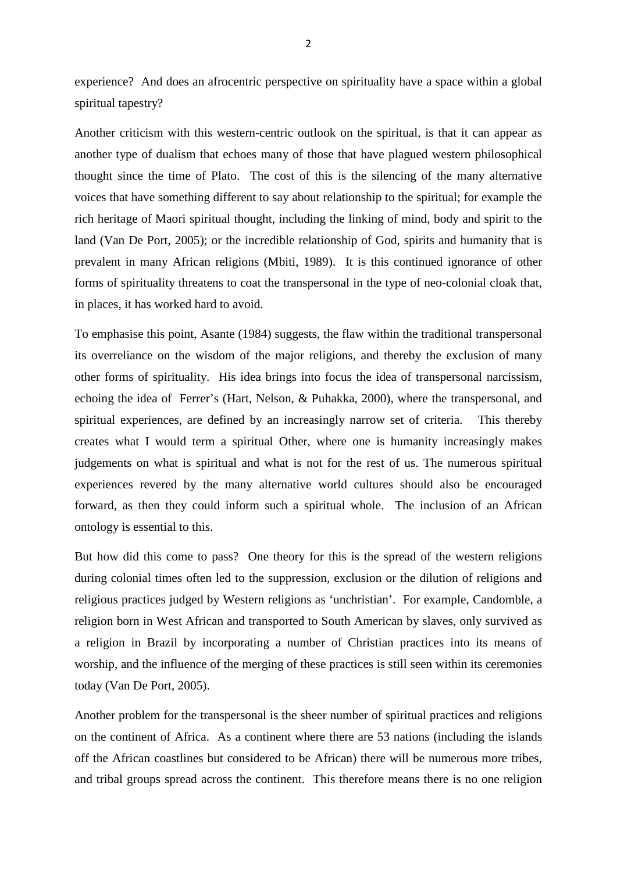experience? And does an afrocentric perspective on spirituality have a space within a global spiritual tapestry?

Another criticism with this western-centric outlook on the spiritual, is that it can appear as another type of dualism that echoes many of those that have plagued western philosophical thought since the time of Plato. The cost of this is the silencing of the many alternative voices that have something different to say about relationship to the spiritual; for example the rich heritage of Maori spiritual thought, including the linking of mind, body and spirit to the land (Van De Port, 2005); or the incredible relationship of God, spirits and humanity that is prevalent in many African religions (Mbiti, 1989). It is this continued ignorance of other forms of spirituality threatens to coat the transpersonal in the type of neo-colonial cloak that, in places, it has worked hard to avoid.

To emphasise this point, Asante (1984) suggests, the flaw within the traditional transpersonal its overreliance on the wisdom of the major religions, and thereby the exclusion of many other forms of spirituality. His idea brings into focus the idea of transpersonal narcissism, echoing the idea of Ferrer's (Hart, Nelson, & Puhakka, 2000), where the transpersonal, and spiritual experiences, are defined by an increasingly narrow set of criteria. This thereby creates what I would term a spiritual Other, where one is humanity increasingly makes judgements on what is spiritual and what is not for the rest of us. The numerous spiritual experiences revered by the many alternative world cultures should also be encouraged forward, as then they could inform such a spiritual whole. The inclusion of an African ontology is essential to this.

But how did this come to pass? One theory for this is the spread of the western religions during colonial times often led to the suppression, exclusion or the dilution of religions and religious practices judged by Western religions as 'unchristian'. For example, Candomble, a religion born in West African and transported to South American by slaves, only survived as a religion in Brazil by incorporating a number of Christian practices into its means of worship, and the influence of the merging of these practices is still seen within its ceremonies today (Van De Port, 2005).

Another problem for the transpersonal is the sheer number of spiritual practices and religions on the continent of Africa. As a continent where there are 53 nations (including the islands off the African coastlines but considered to be African) there will be numerous more tribes, and tribal groups spread across the continent. This therefore means there is no one religion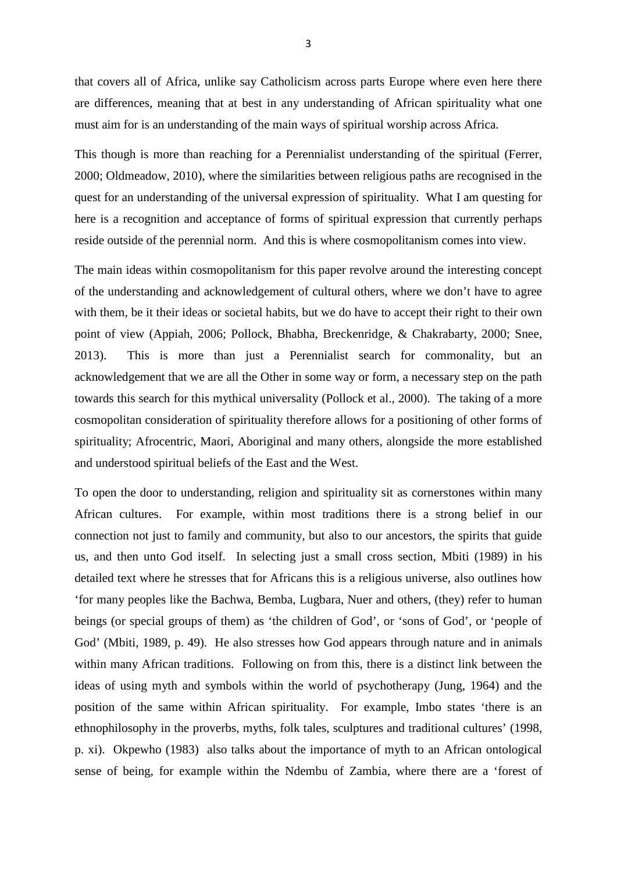that covers all of Africa, unlike say Catholicism across parts Europe where even here there are differences, meaning that at best in any understanding of African spirituality what one must aim for is an understanding of the main ways of spiritual worship across Africa.

This though is more than reaching for a Perennialist understanding of the spiritual (Ferrer, 2000; Oldmeadow, 2010), where the similarities between religious paths are recognised in the quest for an understanding of the universal expression of spirituality. What I am questing for here is a recognition and acceptance of forms of spiritual expression that currently perhaps reside outside of the perennial norm. And this is where cosmopolitanism comes into view.

The main ideas within cosmopolitanism for this paper revolve around the interesting concept of the understanding and acknowledgement of cultural others, where we don't have to agree with them, be it their ideas or societal habits, but we do have to accept their right to their own point of view (Appiah, 2006; Pollock, Bhabha, Breckenridge, & Chakrabarty, 2000; Snee, 2013). This is more than just a Perennialist search for commonality, but an acknowledgement that we are all the Other in some way or form, a necessary step on the path towards this search for this mythical universality (Pollock et al., 2000). The taking of a more cosmopolitan consideration of spirituality therefore allows for a positioning of other forms of spirituality; Afrocentric, Maori, Aboriginal and many others, alongside the more established and understood spiritual beliefs of the East and the West.

To open the door to understanding, religion and spirituality sit as cornerstones within many African cultures. For example, within most traditions there is a strong belief in our connection not just to family and community, but also to our ancestors, the spirits that guide us, and then unto God itself. In selecting just a small cross section, Mbiti (1989) in his detailed text where he stresses that for Africans this is a religious universe, also outlines how 'for many peoples like the Bachwa, Bemba, Lugbara, Nuer and others, (they) refer to human beings (or special groups of them) as 'the children of God', or 'sons of God', or 'people of God' (Mbiti, 1989, p. 49). He also stresses how God appears through nature and in animals within many African traditions. Following on from this, there is a distinct link between the ideas of using myth and symbols within the world of psychotherapy (Jung, 1964) and the position of the same within African spirituality. For example, Imbo states 'there is an ethnophilosophy in the proverbs, myths, folk tales, sculptures and traditional cultures' (1998, p. xi). Okpewho (1983) also talks about the importance of myth to an African ontological sense of being, for example within the Ndembu of Zambia, where there are a 'forest of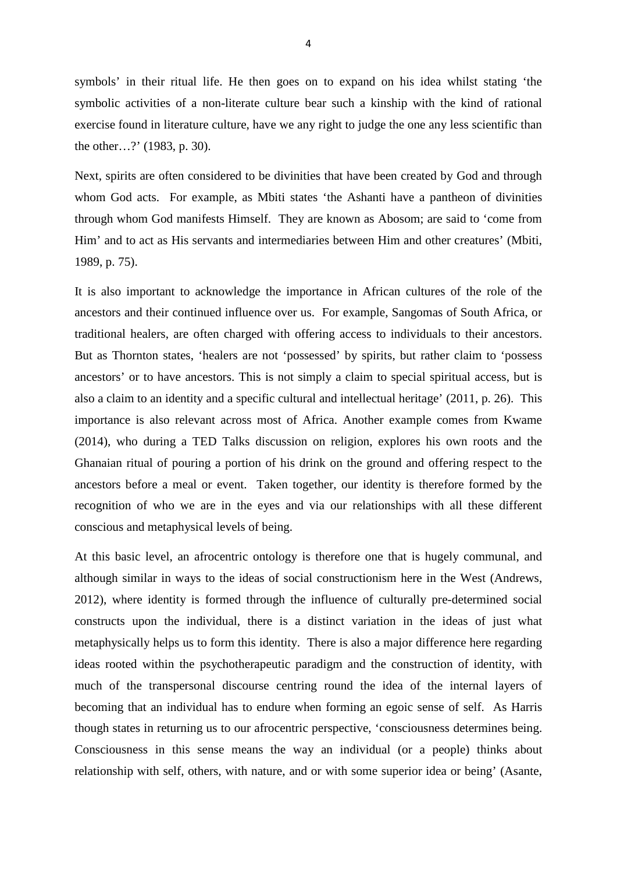symbols' in their ritual life. He then goes on to expand on his idea whilst stating 'the symbolic activities of a non-literate culture bear such a kinship with the kind of rational exercise found in literature culture, have we any right to judge the one any less scientific than the other…?' (1983, p. 30).

Next, spirits are often considered to be divinities that have been created by God and through whom God acts. For example, as Mbiti states 'the Ashanti have a pantheon of divinities through whom God manifests Himself. They are known as Abosom; are said to 'come from Him' and to act as His servants and intermediaries between Him and other creatures' (Mbiti, 1989, p. 75).

It is also important to acknowledge the importance in African cultures of the role of the ancestors and their continued influence over us. For example, Sangomas of South Africa, or traditional healers, are often charged with offering access to individuals to their ancestors. But as Thornton states, 'healers are not 'possessed' by spirits, but rather claim to 'possess ancestors' or to have ancestors. This is not simply a claim to special spiritual access, but is also a claim to an identity and a specific cultural and intellectual heritage' (2011, p. 26). This importance is also relevant across most of Africa. Another example comes from Kwame (2014), who during a TED Talks discussion on religion, explores his own roots and the Ghanaian ritual of pouring a portion of his drink on the ground and offering respect to the ancestors before a meal or event. Taken together, our identity is therefore formed by the recognition of who we are in the eyes and via our relationships with all these different conscious and metaphysical levels of being.

At this basic level, an afrocentric ontology is therefore one that is hugely communal, and although similar in ways to the ideas of social constructionism here in the West (Andrews, 2012), where identity is formed through the influence of culturally pre-determined social constructs upon the individual, there is a distinct variation in the ideas of just what metaphysically helps us to form this identity. There is also a major difference here regarding ideas rooted within the psychotherapeutic paradigm and the construction of identity, with much of the transpersonal discourse centring round the idea of the internal layers of becoming that an individual has to endure when forming an egoic sense of self. As Harris though states in returning us to our afrocentric perspective, 'consciousness determines being. Consciousness in this sense means the way an individual (or a people) thinks about relationship with self, others, with nature, and or with some superior idea or being' (Asante,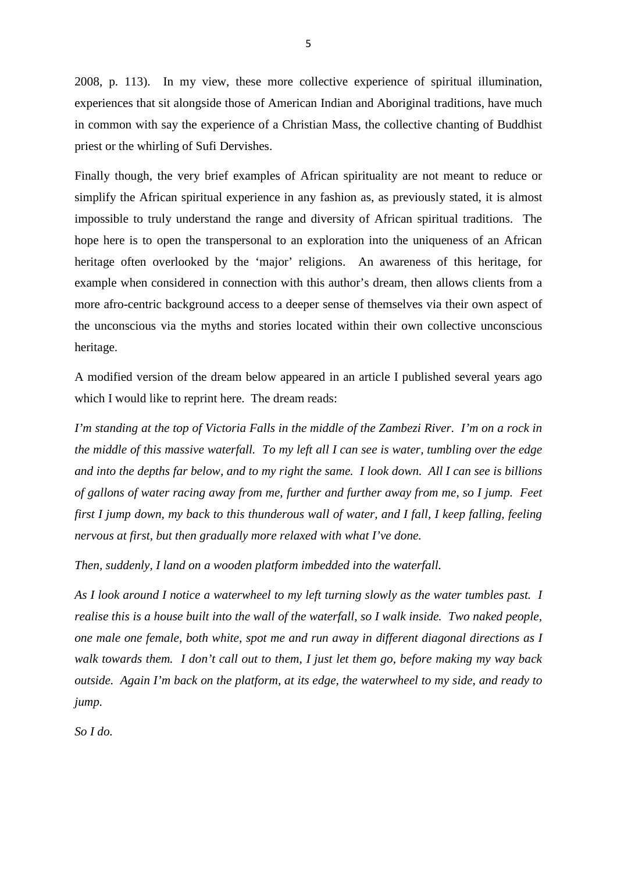2008, p. 113). In my view, these more collective experience of spiritual illumination, experiences that sit alongside those of American Indian and Aboriginal traditions, have much in common with say the experience of a Christian Mass, the collective chanting of Buddhist priest or the whirling of Sufi Dervishes.

Finally though, the very brief examples of African spirituality are not meant to reduce or simplify the African spiritual experience in any fashion as, as previously stated, it is almost impossible to truly understand the range and diversity of African spiritual traditions. The hope here is to open the transpersonal to an exploration into the uniqueness of an African heritage often overlooked by the 'major' religions. An awareness of this heritage, for example when considered in connection with this author's dream, then allows clients from a more afro-centric background access to a deeper sense of themselves via their own aspect of the unconscious via the myths and stories located within their own collective unconscious heritage.

A modified version of the dream below appeared in an article I published several years ago which I would like to reprint here. The dream reads:

*I'm standing at the top of Victoria Falls in the middle of the Zambezi River. I'm on a rock in the middle of this massive waterfall. To my left all I can see is water, tumbling over the edge and into the depths far below, and to my right the same. I look down. All I can see is billions of gallons of water racing away from me, further and further away from me, so I jump. Feet first I jump down, my back to this thunderous wall of water, and I fall, I keep falling, feeling nervous at first, but then gradually more relaxed with what I've done.*

*Then, suddenly, I land on a wooden platform imbedded into the waterfall.*

*As I look around I notice a waterwheel to my left turning slowly as the water tumbles past. I realise this is a house built into the wall of the waterfall, so I walk inside. Two naked people, one male one female, both white, spot me and run away in different diagonal directions as I walk towards them. I don't call out to them, I just let them go, before making my way back outside. Again I'm back on the platform, at its edge, the waterwheel to my side, and ready to jump.*

*So I do.*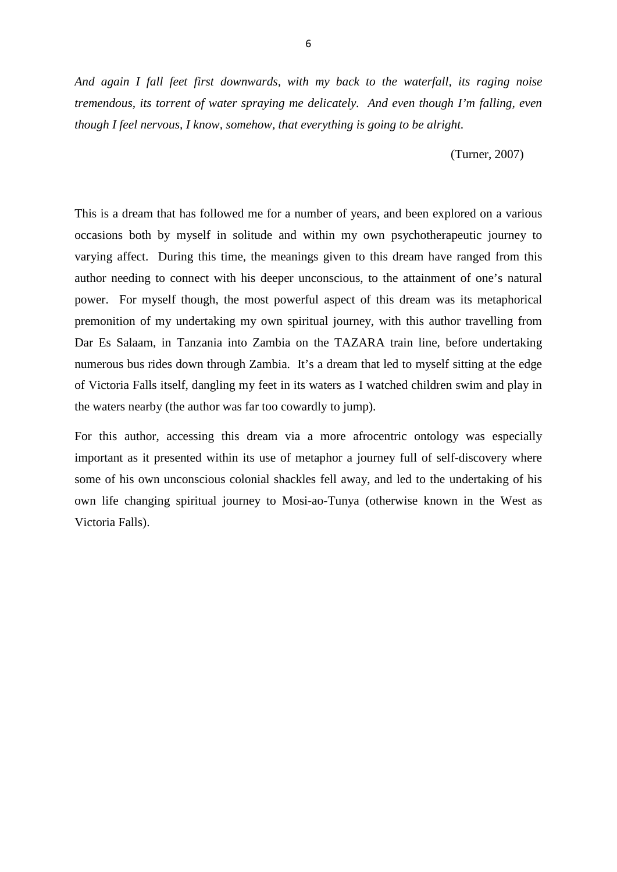*And again I fall feet first downwards, with my back to the waterfall, its raging noise tremendous, its torrent of water spraying me delicately. And even though I'm falling, even though I feel nervous, I know, somehow, that everything is going to be alright.*

(Turner, 2007)

This is a dream that has followed me for a number of years, and been explored on a various occasions both by myself in solitude and within my own psychotherapeutic journey to varying affect. During this time, the meanings given to this dream have ranged from this author needing to connect with his deeper unconscious, to the attainment of one's natural power. For myself though, the most powerful aspect of this dream was its metaphorical premonition of my undertaking my own spiritual journey, with this author travelling from Dar Es Salaam, in Tanzania into Zambia on the TAZARA train line, before undertaking numerous bus rides down through Zambia. It's a dream that led to myself sitting at the edge of Victoria Falls itself, dangling my feet in its waters as I watched children swim and play in the waters nearby (the author was far too cowardly to jump).

For this author, accessing this dream via a more afrocentric ontology was especially important as it presented within its use of metaphor a journey full of self-discovery where some of his own unconscious colonial shackles fell away, and led to the undertaking of his own life changing spiritual journey to Mosi-ao-Tunya (otherwise known in the West as Victoria Falls).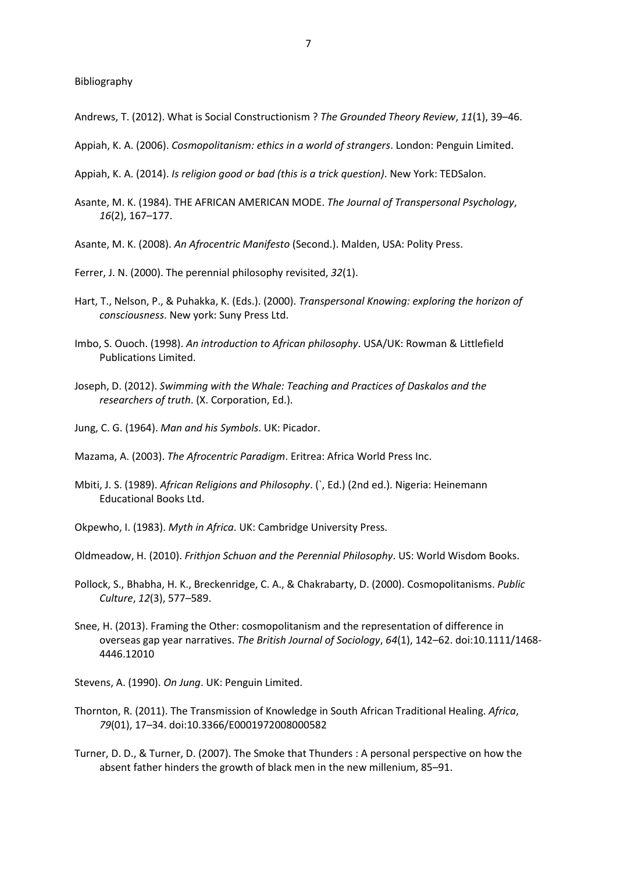Bibliography

- Andrews, T. (2012). What is Social Constructionism ? *The Grounded Theory Review*, *11*(1), 39–46.
- Appiah, K. A. (2006). *Cosmopolitanism: ethics in a world of strangers*. London: Penguin Limited.
- Appiah, K. A. (2014). *Is religion good or bad (this is a trick question)*. New York: TEDSalon.
- Asante, M. K. (1984). THE AFRICAN AMERICAN MODE. *The Journal of Transpersonal Psychology*, *16*(2), 167–177.
- Asante, M. K. (2008). *An Afrocentric Manifesto* (Second.). Malden, USA: Polity Press.
- Ferrer, J. N. (2000). The perennial philosophy revisited, *32*(1).
- Hart, T., Nelson, P., & Puhakka, K. (Eds.). (2000). *Transpersonal Knowing: exploring the horizon of consciousness*. New york: Suny Press Ltd.
- Imbo, S. Ouoch. (1998). *An introduction to African philosophy*. USA/UK: Rowman & Littlefield Publications Limited.
- Joseph, D. (2012). *Swimming with the Whale: Teaching and Practices of Daskalos and the researchers of truth*. (X. Corporation, Ed.).
- Jung, C. G. (1964). *Man and his Symbols*. UK: Picador.

Mazama, A. (2003). *The Afrocentric Paradigm*. Eritrea: Africa World Press Inc.

Mbiti, J. S. (1989). *African Religions and Philosophy*. (`, Ed.) (2nd ed.). Nigeria: Heinemann Educational Books Ltd.

Okpewho, I. (1983). *Myth in Africa*. UK: Cambridge University Press.

Oldmeadow, H. (2010). *Frithjon Schuon and the Perennial Philosophy*. US: World Wisdom Books.

- Pollock, S., Bhabha, H. K., Breckenridge, C. A., & Chakrabarty, D. (2000). Cosmopolitanisms. *Public Culture*, *12*(3), 577–589.
- Snee, H. (2013). Framing the Other: cosmopolitanism and the representation of difference in overseas gap year narratives. *The British Journal of Sociology*, *64*(1), 142–62. doi:10.1111/1468- 4446.12010

Stevens, A. (1990). *On Jung*. UK: Penguin Limited.

- Thornton, R. (2011). The Transmission of Knowledge in South African Traditional Healing. *Africa*, *79*(01), 17–34. doi:10.3366/E0001972008000582
- Turner, D. D., & Turner, D. (2007). The Smoke that Thunders : A personal perspective on how the absent father hinders the growth of black men in the new millenium, 85–91.